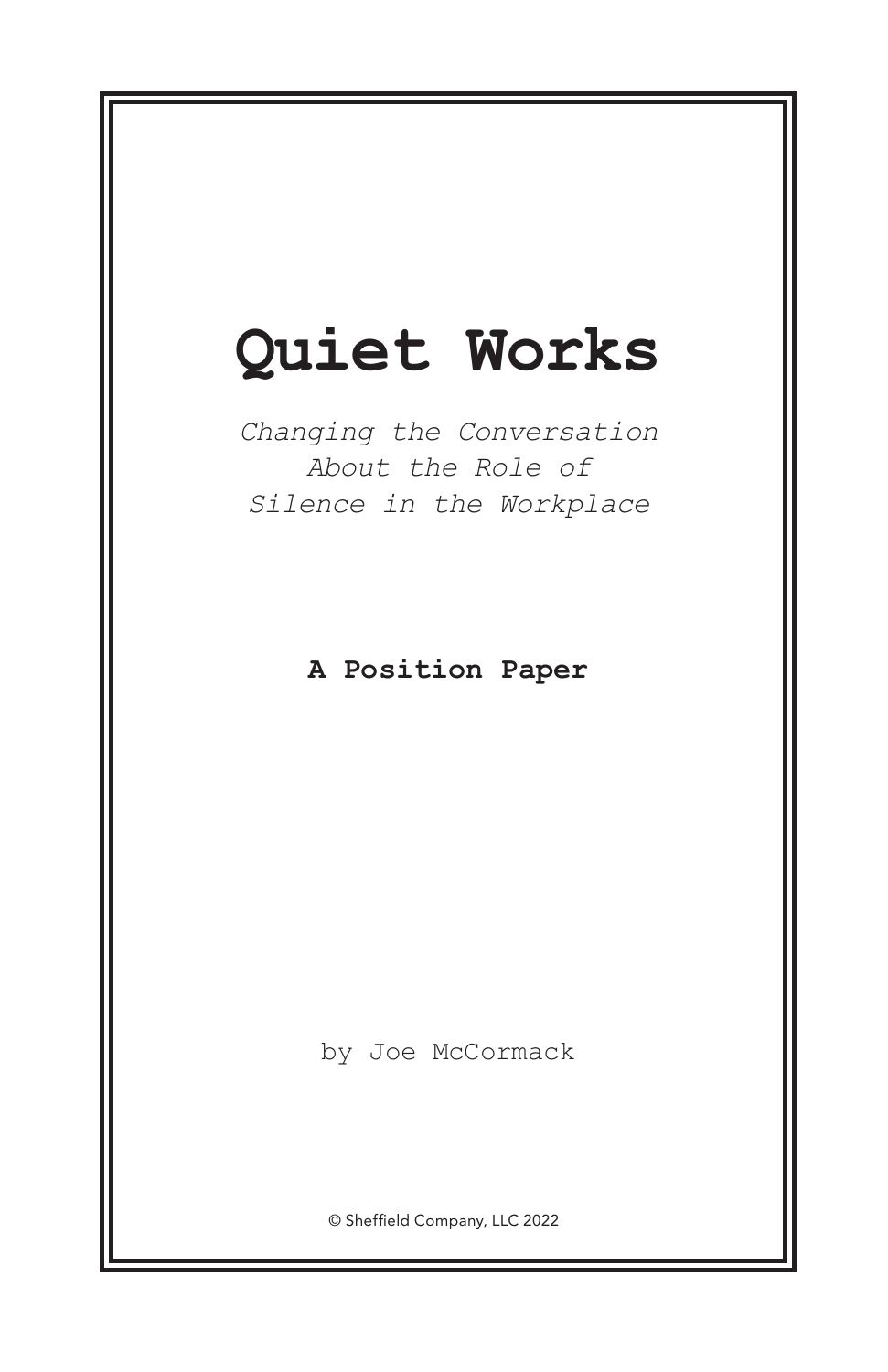# **Quiet Works**

*Changing the Conversation About the Role of Silence in the Workplace*

**A Position Paper**

by Joe McCormack

© Sheffield Company, LLC 2022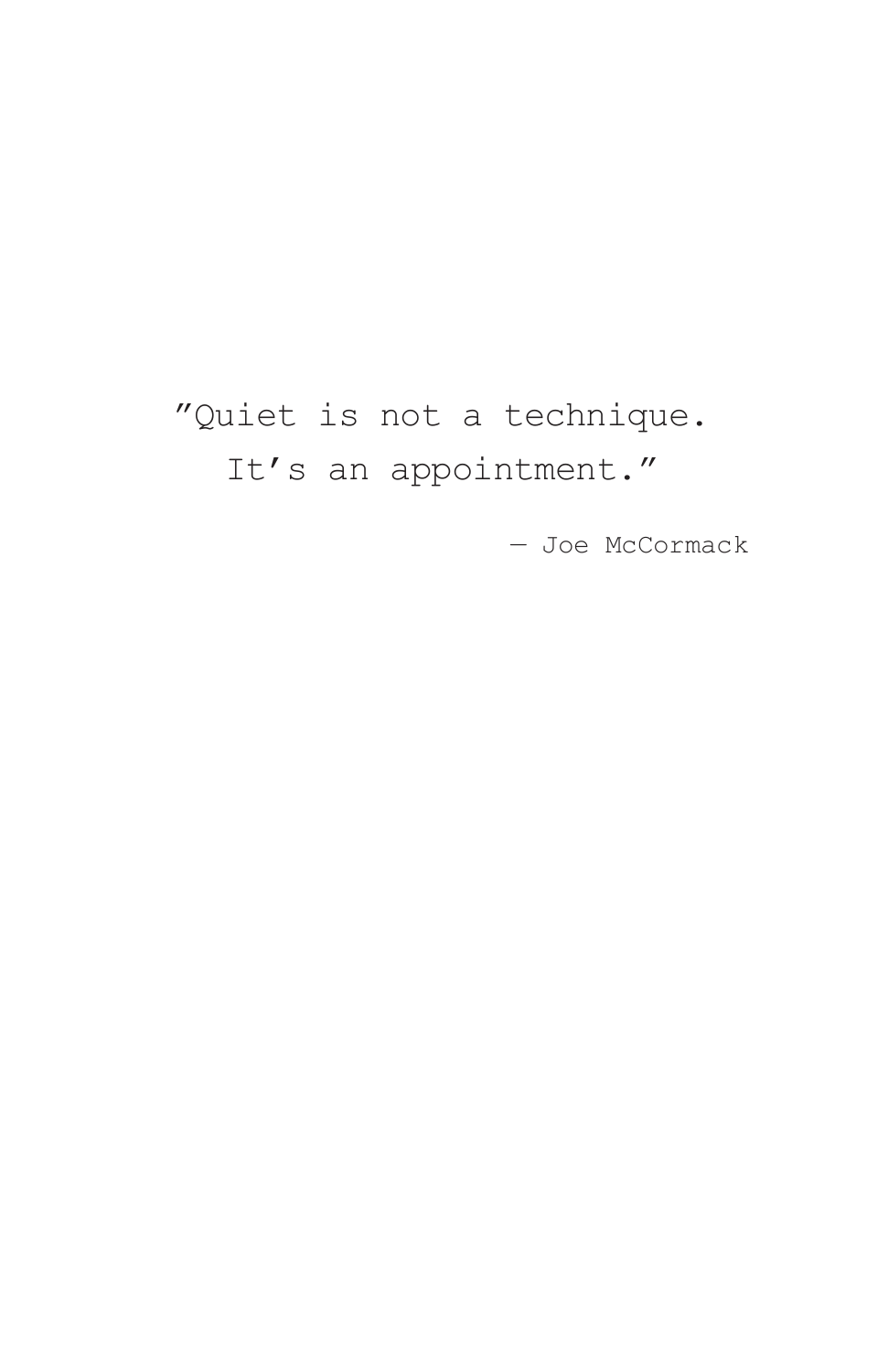# "Quiet is not a technique. It's an appointment."

— Joe McCormack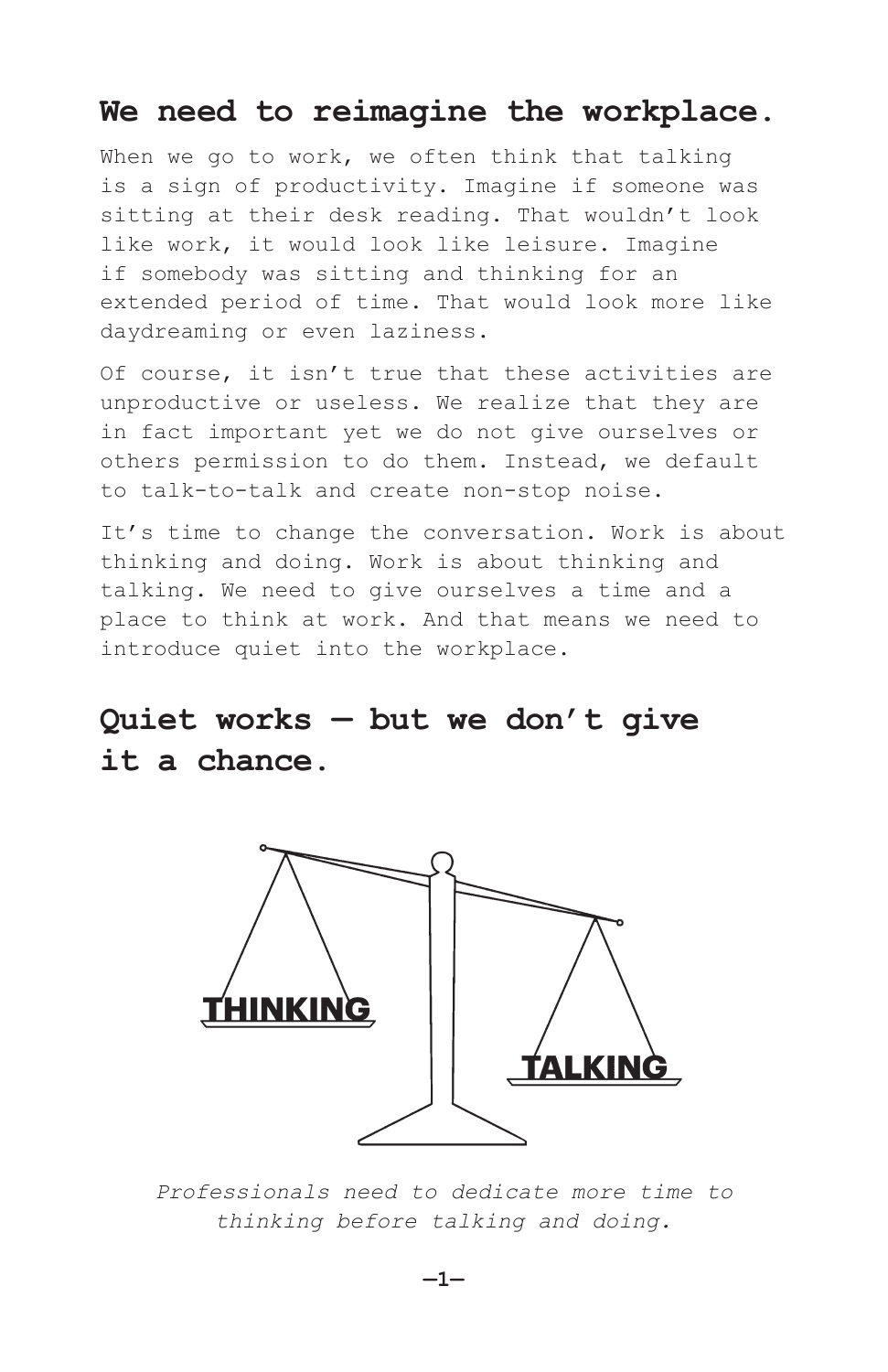## **We need to reimagine the workplace.**

When we go to work, we often think that talking is a sign of productivity. Imagine if someone was sitting at their desk reading. That wouldn't look like work, it would look like leisure. Imagine if somebody was sitting and thinking for an extended period of time. That would look more like daydreaming or even laziness.

Of course, it isn't true that these activities are unproductive or useless. We realize that they are in fact important yet we do not give ourselves or others permission to do them. Instead, we default to talk-to-talk and create non-stop noise.

It's time to change the conversation. Work is about thinking and doing. Work is about thinking and talking. We need to give ourselves a time and a place to think at work. And that means we need to introduce quiet into the workplace.

# **Quiet works — but we don't give it a chance.**



*Professionals need to dedicate more time to thinking before talking and doing.*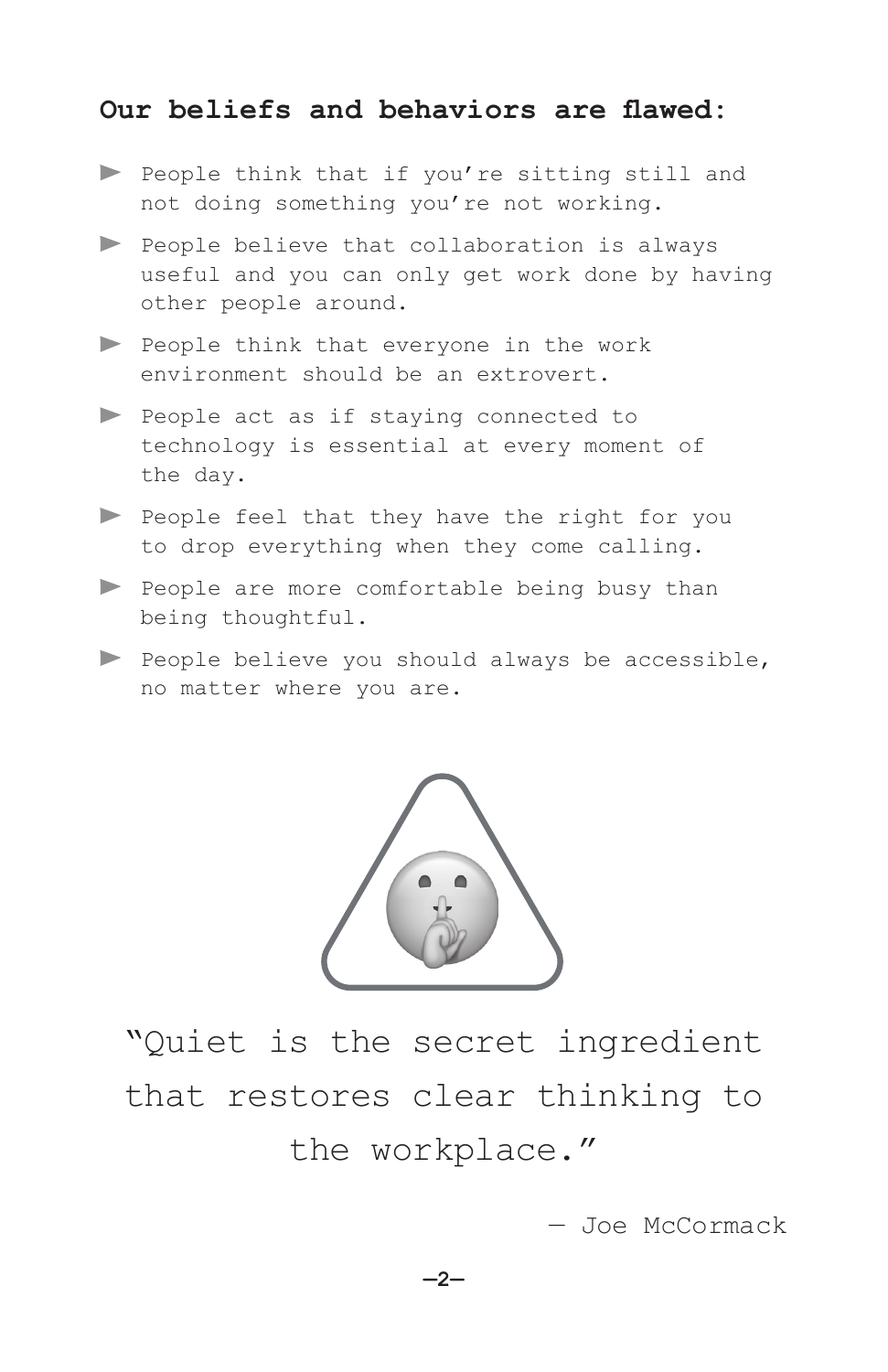### **Our beliefs and behaviors are flawed:**

- People think that if you're sitting still and not doing something you're not working.
- People believe that collaboration is always useful and you can only get work done by having other people around.
- People think that everyone in the work environment should be an extrovert.
- People act as if staying connected to technology is essential at every moment of the day.
- People feel that they have the right for you to drop everything when they come calling.
- People are more comfortable being busy than being thoughtful.
- People believe you should always be accessible, no matter where you are.



"Quiet is the secret ingredient that restores clear thinking to the workplace."

— Joe McCormack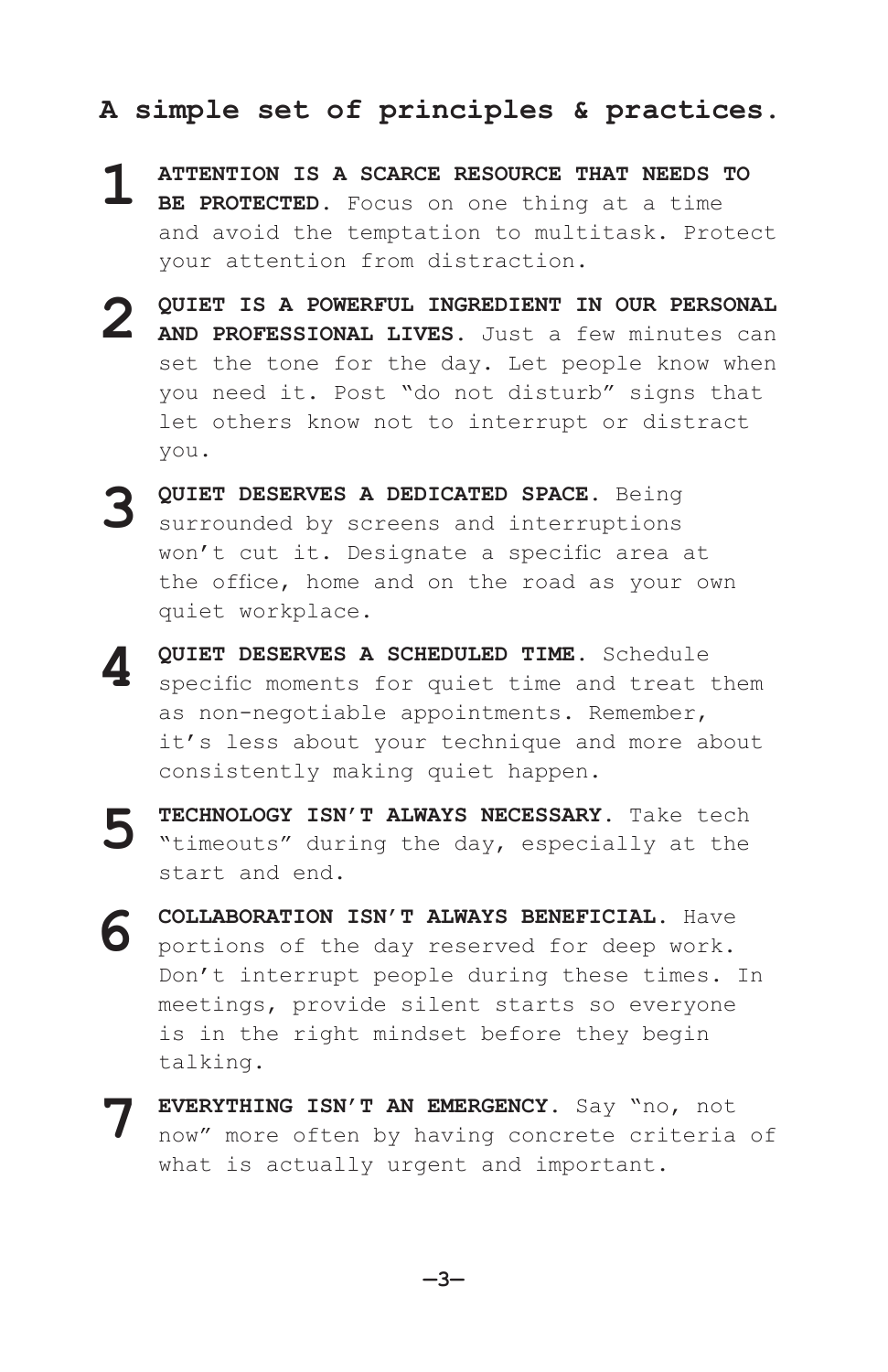#### **A simple set of principles & practices.**

- **ATTENTION IS A SCARCE RESOURCE THAT NEEDS TO**
- **BE PROTECTED.** Focus on one thing at a time and avoid the temptation to multitask. Protect your attention from distraction. **1**
- **QUIET IS A POWERFUL INGREDIENT IN OUR PERSONAL AND PROFESSIONAL LIVES.** Just a few minutes can set the tone for the day. Let people know when you need it. Post "do not disturb" signs that let others know not to interrupt or distract you. **2**
- **QUIET DESERVES A DEDICATED SPACE.** Being surrounded by screens and interruptions won't cut it. Designate a specific area at the office, home and on the road as your own quiet workplace. **3**
- **QUIET DESERVES A SCHEDULED TIME.** Schedule specific moments for quiet time and treat them as non-negotiable appointments. Remember, it's less about your technique and more about consistently making quiet happen. **4**
- **TECHNOLOGY ISN'T ALWAYS NECESSARY.** Take tech "timeouts" during the day, especially at the start and end. **5**
- **COLLABORATION ISN'T ALWAYS BENEFICIAL.** Have portions of the day reserved for deep work. Don't interrupt people during these times. In meetings, provide silent starts so everyone is in the right mindset before they begin talking. **6**
- **EVERYTHING ISN'T AN EMERGENCY.** Say "no, not now" more often by having concrete criteria of what is actually urgent and important. **7**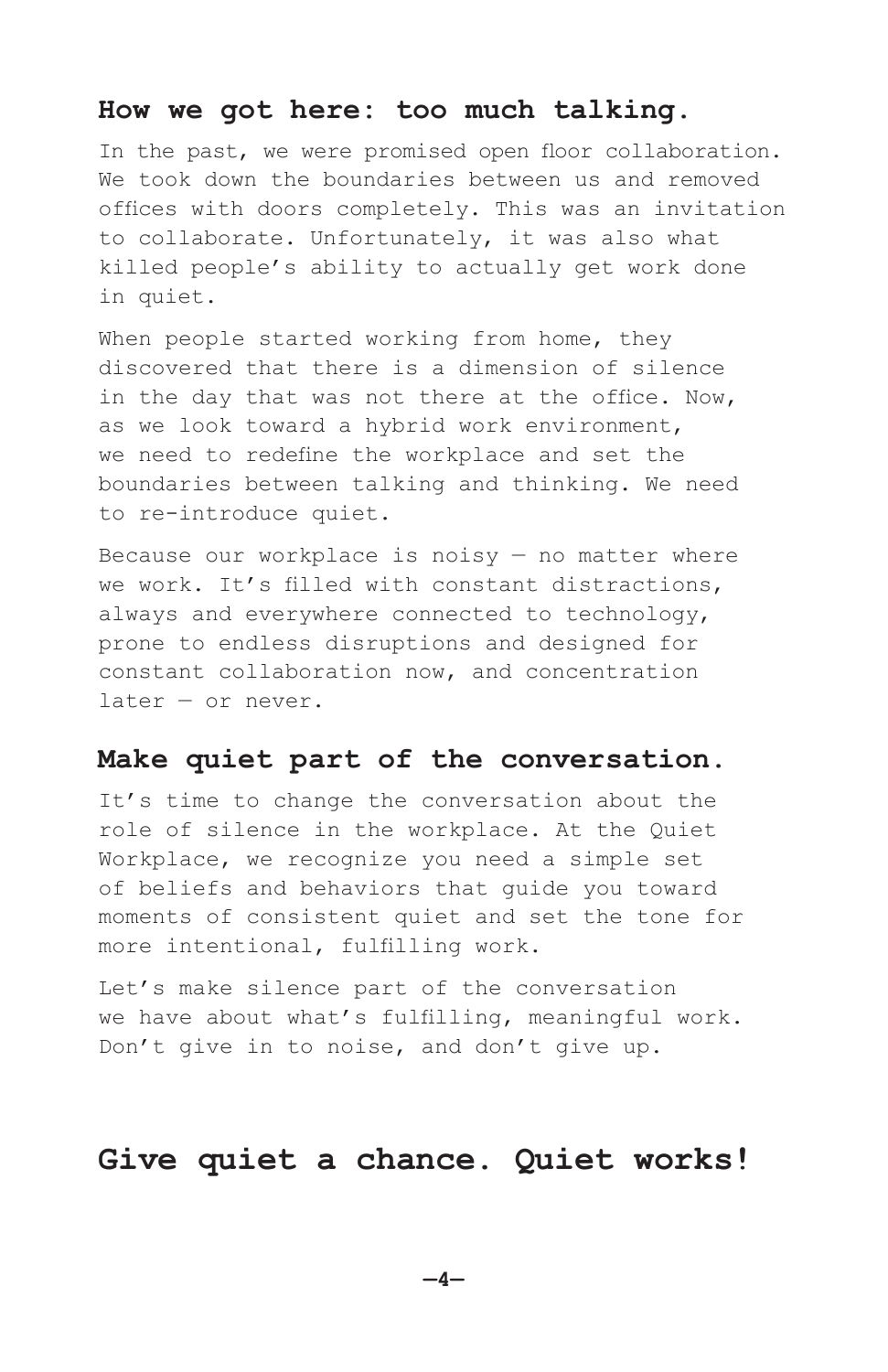#### **How we got here: too much talking.**

In the past, we were promised open floor collaboration. We took down the boundaries between us and removed offices with doors completely. This was an invitation to collaborate. Unfortunately, it was also what killed people's ability to actually get work done in quiet.

When people started working from home, they discovered that there is a dimension of silence in the day that was not there at the office. Now, as we look toward a hybrid work environment, we need to redefine the workplace and set the boundaries between talking and thinking. We need to re-introduce quiet.

Because our workplace is noisy  $-$  no matter where we work. It's filled with constant distractions, always and everywhere connected to technology, prone to endless disruptions and designed for constant collaboration now, and concentration later — or never.

#### **Make quiet part of the conversation.**

It's time to change the conversation about the role of silence in the workplace. At the Quiet Workplace, we recognize you need a simple set of beliefs and behaviors that guide you toward moments of consistent quiet and set the tone for more intentional, fulfilling work.

Let's make silence part of the conversation we have about what's fulfilling, meaningful work. Don't give in to noise, and don't give up.

# **Give quiet a chance. Quiet works!**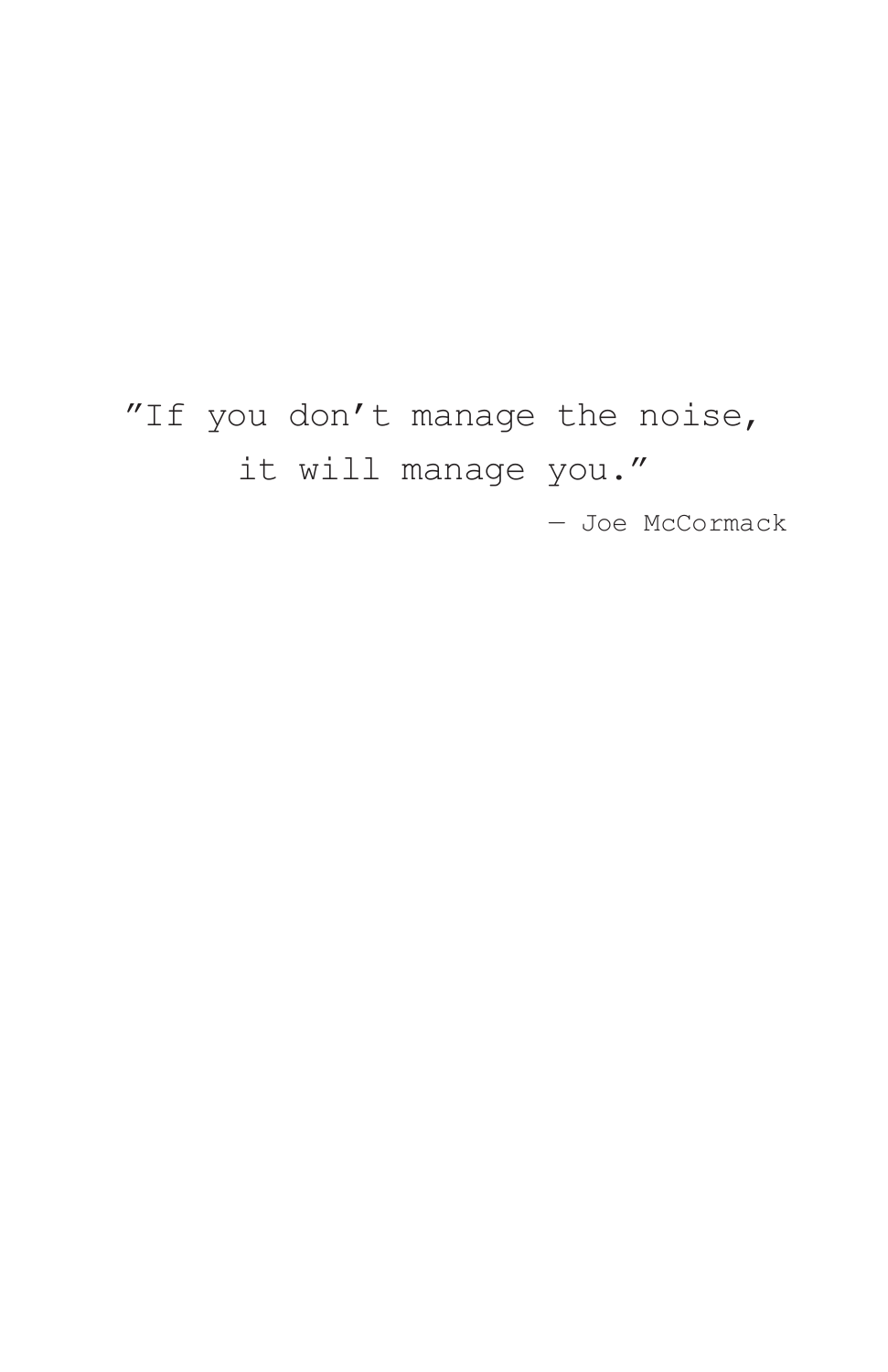# "If you don't manage the noise, it will manage you."

— Joe McCormack